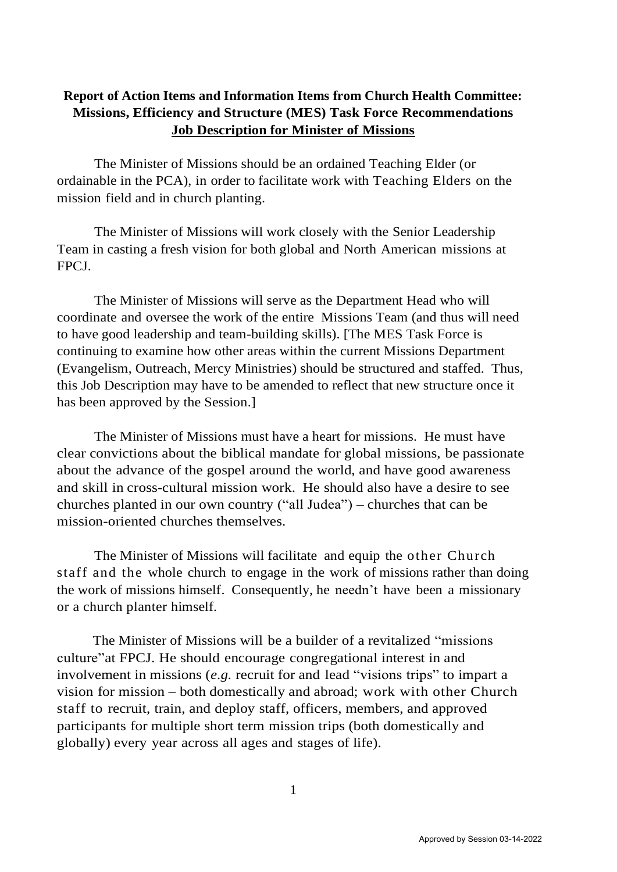## **Report of Action Items and Information Items from Church Health Committee: Missions, Efficiency and Structure (MES) Task Force Recommendations Job Description for Minister of Missions**

The Minister of Missions should be an ordained Teaching Elder (or ordainable in the PCA), in order to facilitate work with Teaching Elders on the mission field and in church planting.

The Minister of Missions will work closely with the Senior Leadership Team in casting a fresh vision for both global and North American missions at FPCJ.

The Minister of Missions will serve as the Department Head who will coordinate and oversee the work of the entire Missions Team (and thus will need to have good leadership and team-building skills). [The MES Task Force is continuing to examine how other areas within the current Missions Department (Evangelism, Outreach, Mercy Ministries) should be structured and staffed. Thus, this Job Description may have to be amended to reflect that new structure once it has been approved by the Session.]

The Minister of Missions must have a heart for missions. He must have clear convictions about the biblical mandate for global missions, be passionate about the advance of the gospel around the world, and have good awareness and skill in cross-cultural mission work. He should also have a desire to see churches planted in our own country ("all Judea") – churches that can be mission-oriented churches themselves.

The Minister of Missions will facilitate and equip the other Church staff and the whole church to engage in the work of missions rather than doing the work of missions himself. Consequently, he needn't have been a missionary or a church planter himself.

The Minister of Missions will be a builder of a revitalized "missions culture"at FPCJ. He should encourage congregational interest in and involvement in missions (*e.g.* recruit for and lead "visions trips" to impart a vision for mission – both domestically and abroad; work with other Church staff to recruit, train, and deploy staff, officers, members, and approved participants for multiple short term mission trips (both domestically and globally) every year across all ages and stages of life).